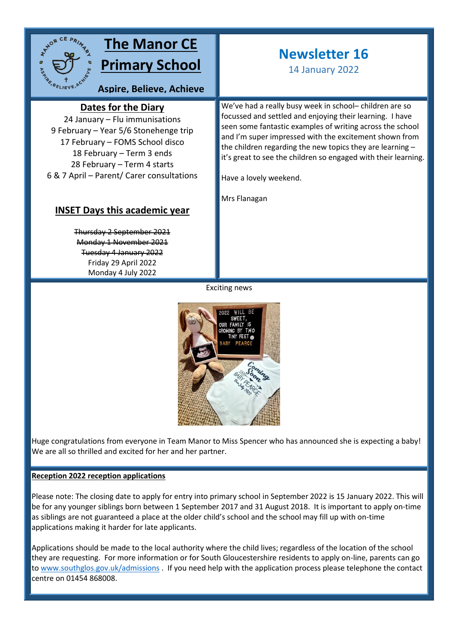

# **The Manor CE Primary School**

**Aspire, Believe, Achieve**

## **Dates for the Diary**

24 January – Flu immunisations **sky**9 February – Year 5/6 Stonehenge trip 17 February – FOMS School disco 18 February – Term 3 ends 28 February – Term 4 starts 6 & 7 April – Parent/ Carer consultations

### **INSET Days this academic year**

Thursday 2 September 2021 Monday 1 November 2021 Tuesday 4 January 2022 Friday 29 April 2022 Monday 4 July 2022

# **Newsletter 16**

14 January 2022

We've had a really busy week in school– children are so focussed and settled and enjoying their learning. I have seen some fantastic examples of writing across the school and I'm super impressed with the excitement shown from the children regarding the new topics they are learning – it's great to see the children so engaged with their learning.

Have a lovely weekend.

Mrs Flanagan

Exciting news



Huge congratulations from everyone in Team Manor to Miss Spencer who has announced she is expecting a baby! We are all so thrilled and excited for her and her partner.

#### **Reception 2022 reception applications**

Please note: The closing date to apply for entry into primary school in September 2022 is 15 January 2022. This will be for any younger siblings born between 1 September 2017 and 31 August 2018. It is important to apply on-time as siblings are not guaranteed a place at the older child's school and the school may fill up with on-time applications making it harder for late applicants.

Applications should be made to the local authority where the child lives; regardless of the location of the school they are requesting. For more information or for South Gloucestershire residents to apply on-line, parents can go to [www.southglos.gov.uk/admissions](http://www.southglos.gov.uk/admissions) . If you need help with the application process please telephone the contact centre on 01454 868008.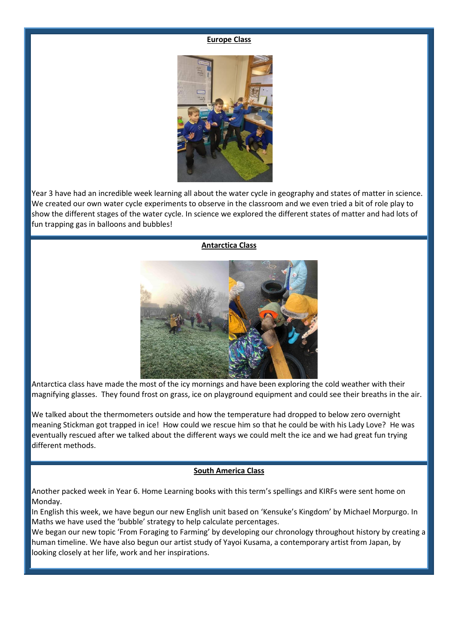#### **Europe Class**



Year 3 have had an incredible week learning all about the water cycle in geography and states of matter in science. We created our own water cycle experiments to observe in the classroom and we even tried a bit of role play to show the different stages of the water cycle. In science we explored the different states of matter and had lots of fun trapping gas in balloons and bubbles!

#### **Antarctica Class**



Antarctica class have made the most of the icy mornings and have been exploring the cold weather with their magnifying glasses. They found frost on grass, ice on playground equipment and could see their breaths in the air.

We talked about the thermometers outside and how the temperature had dropped to below zero overnight meaning Stickman got trapped in ice! How could we rescue him so that he could be with his Lady Love? He was eventually rescued after we talked about the different ways we could melt the ice and we had great fun trying different methods.

#### **South America Class**

Another packed week in Year 6. Home Learning books with this term's spellings and KIRFs were sent home on Monday.

In English this week, we have begun our new English unit based on 'Kensuke's Kingdom' by Michael Morpurgo. In Maths we have used the 'bubble' strategy to help calculate percentages.

We began our new topic 'From Foraging to Farming' by developing our chronology throughout history by creating a human timeline. We have also begun our artist study of Yayoi Kusama, a contemporary artist from Japan, by looking closely at her life, work and her inspirations.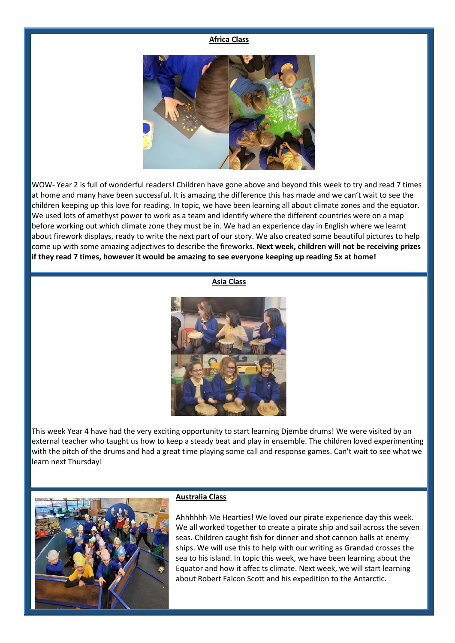#### **Africa Class**



WOW- Year 2 is full of wonderful readers! Children have gone above and beyond this week to try and read 7 times at home and many have been successful. It is amazing the difference this has made and we can't wait to see the children keeping up this love for reading. In topic, we have been learning all about climate zones and the equator. We used lots of amethyst power to work as a team and identify where the different countries were on a map before working out which climate zone they must be in. We had an experience day in English where we learnt about firework displays, ready to write the next part of our story. We also created some beautiful pictures to help come up with some amazing adjectives to describe the fireworks. **Next week, children will not be receiving prizes if they read 7 times, however it would be amazing to see everyone keeping up reading 5x at home!** 

#### **Asia Class**



This week Year 4 have had the very exciting opportunity to start learning Djembe drums! We were visited by an external teacher who taught us how to keep a steady beat and play in ensemble. The children loved experimenting with the pitch of the drums and had a great time playing some call and response games. Can't wait to see what we learn next Thursday!



#### **Australia Class**

Ahhhhhh Me Hearties! We loved our pirate experience day this week. We all worked together to create a pirate ship and sail across the seven seas. Children caught fish for dinner and shot cannon balls at enemy ships. We will use this to help with our writing as Grandad crosses the sea to his island. In topic this week, we have been learning about the Equator and how it affec ts climate. Next week, we will start learning about Robert Falcon Scott and his expedition to the Antarctic.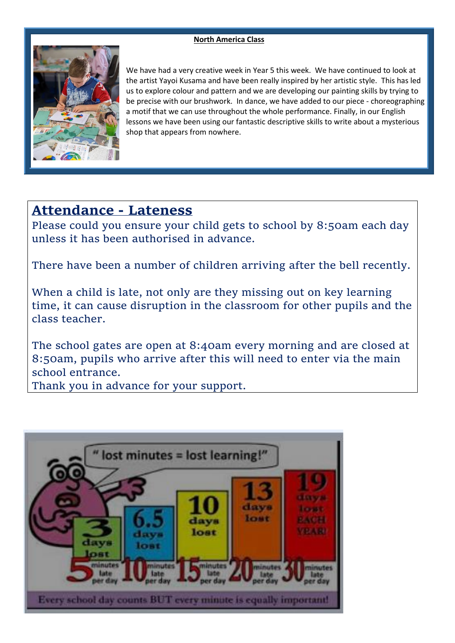#### **North America Class**



We have had a very creative week in Year 5 this week. We have continued to look at the artist Yayoi Kusama and have been really inspired by her artistic style. This has led us to explore colour and pattern and we are developing our painting skills by trying to be precise with our brushwork. In dance, we have added to our piece - choreographing a motif that we can use throughout the whole performance. Finally, in our English lessons we have been using our fantastic descriptive skills to write about a mysterious shop that appears from nowhere.

## **Attendance - Lateness**

Please could you ensure your child gets to school by 8:50am each day unless it has been authorised in advance.

There have been a number of children arriving after the bell recently.

When a child is late, not only are they missing out on key learning time, it can cause disruption in the classroom for other pupils and the class teacher.

The school gates are open at 8:40am every morning and are closed at 8:50am, pupils who arrive after this will need to enter via the main school entrance.

Thank you in advance for your support.